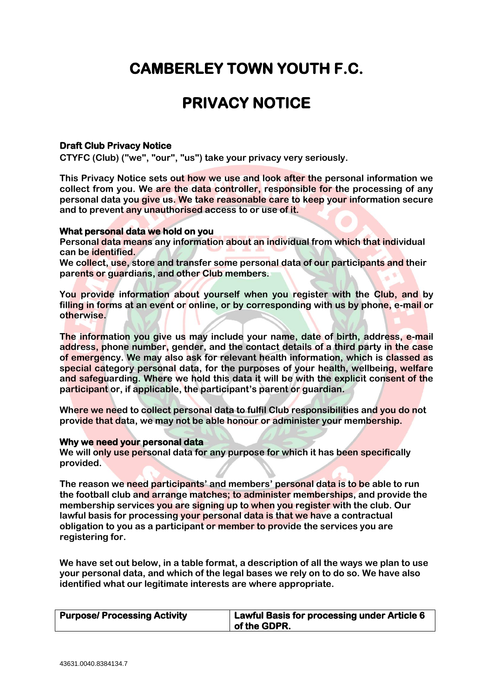# **CAMBERLEY TOWN YOUTH F.C.**

# **PRIVACY NOTICE**

# **Draft Club Privacy Notice**

**CTYFC (Club) ("we", "our", "us") take your privacy very seriously.** 

**This Privacy Notice sets out how we use and look after the personal information we collect from you. We are the data controller, responsible for the processing of any personal data you give us. We take reasonable care to keep your information secure and to prevent any unauthorised access to or use of it.**

#### **What personal data we hold on you**

**Personal data means any information about an individual from which that individual can be identified.**

**We collect, use, store and transfer some personal data of our participants and their parents or guardians, and other Club members.**

**You provide information about yourself when you register with the Club, and by filling in forms at an event or online, or by corresponding with us by phone, e-mail or otherwise.** 

**The information you give us may include your name, date of birth, address, e-mail address, phone number, gender, and the contact details of a third party in the case of emergency. We may also ask for relevant health information, which is classed as special category personal data, for the purposes of your health, wellbeing, welfare and safeguarding. Where we hold this data it will be with the explicit consent of the participant or, if applicable, the participant's parent or guardian.**

**Where we need to collect personal data to fulfil Club responsibilities and you do not provide that data, we may not be able honour or administer your membership.** 

## **Why we need your personal data**

**We will only use personal data for any purpose for which it has been specifically provided.**

**The reason we need participants' and members' personal data is to be able to run the football club and arrange matches; to administer memberships, and provide the membership services you are signing up to when you register with the club. Our lawful basis for processing your personal data is that we have a contractual obligation to you as a participant or member to provide the services you are registering for.**

**We have set out below, in a table format, a description of all the ways we plan to use your personal data, and which of the legal bases we rely on to do so. We have also identified what our legitimate interests are where appropriate.**

| <b>Purpose/ Processing Activity</b> | Lawful Basis for processing under Article 6 |
|-------------------------------------|---------------------------------------------|
|                                     | $\overline{\phantom{a}}$ of the GDPR.       |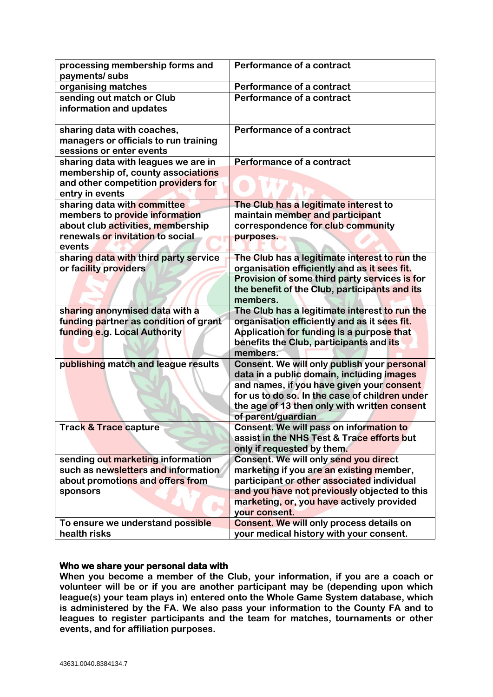| payments/ subs<br>organising matches<br>Performance of a contract<br>sending out match or Club<br>Performance of a contract<br>information and updates<br>Performance of a contract<br>sharing data with coaches,<br>managers or officials to run training<br>sessions or enter events<br>Performance of a contract<br>sharing data with leagues we are in<br>membership of, county associations<br>and other competition providers for<br>entry in events<br>sharing data with committee<br>The Club has a legitimate interest to<br>members to provide information<br>maintain member and participant<br>about club activities, membership<br>correspondence for club community<br>renewals or invitation to social<br>purposes.<br>events<br>sharing data with third party service<br>The Club has a legitimate interest to run the<br>or facility providers<br>organisation efficiently and as it sees fit.<br>Provision of some third party services is for<br>the benefit of the Club, participants and its<br>members.<br>The Club has a legitimate interest to run the<br>sharing anonymised data with a<br>funding partner as condition of grant<br>organisation efficiently and as it sees fit.<br>funding e.g. Local Authority<br>Application for funding is a purpose that<br>benefits the Club, participants and its<br>members.<br>publishing match and league results<br>Consent. We will only publish your personal<br>data in a public domain, including images<br>and names, if you have given your consent<br>for us to do so. In the case of children under<br>the age of 13 then only with written consent<br>of parent/guardian<br><b>Track &amp; Trace capture</b><br>Consent. We will pass on information to<br>assist in the NHS Test & Trace efforts but<br>only if requested by them.<br>sending out marketing information<br>Consent. We will only send you direct<br>such as newsletters and information<br>marketing if you are an existing member,<br>about promotions and offers from<br>participant or other associated individual<br>and you have not previously objected to this<br>sponsors<br>marketing, or, you have actively provided<br>your consent.<br><b>Consent. We will only process details on</b><br>To ensure we understand possible<br>health risks<br>your medical history with your consent. |                                 |                           |
|-------------------------------------------------------------------------------------------------------------------------------------------------------------------------------------------------------------------------------------------------------------------------------------------------------------------------------------------------------------------------------------------------------------------------------------------------------------------------------------------------------------------------------------------------------------------------------------------------------------------------------------------------------------------------------------------------------------------------------------------------------------------------------------------------------------------------------------------------------------------------------------------------------------------------------------------------------------------------------------------------------------------------------------------------------------------------------------------------------------------------------------------------------------------------------------------------------------------------------------------------------------------------------------------------------------------------------------------------------------------------------------------------------------------------------------------------------------------------------------------------------------------------------------------------------------------------------------------------------------------------------------------------------------------------------------------------------------------------------------------------------------------------------------------------------------------------------------------------------------------------------------------------------------------------------------------------------------------------------------------------------------------------------------------------------------------------------------------------------------------------------------------------------------------------------------------------------------------------------------------------------------------------------------------------------------------------------------------------|---------------------------------|---------------------------|
|                                                                                                                                                                                                                                                                                                                                                                                                                                                                                                                                                                                                                                                                                                                                                                                                                                                                                                                                                                                                                                                                                                                                                                                                                                                                                                                                                                                                                                                                                                                                                                                                                                                                                                                                                                                                                                                                                                                                                                                                                                                                                                                                                                                                                                                                                                                                                 | processing membership forms and | Performance of a contract |
|                                                                                                                                                                                                                                                                                                                                                                                                                                                                                                                                                                                                                                                                                                                                                                                                                                                                                                                                                                                                                                                                                                                                                                                                                                                                                                                                                                                                                                                                                                                                                                                                                                                                                                                                                                                                                                                                                                                                                                                                                                                                                                                                                                                                                                                                                                                                                 |                                 |                           |
|                                                                                                                                                                                                                                                                                                                                                                                                                                                                                                                                                                                                                                                                                                                                                                                                                                                                                                                                                                                                                                                                                                                                                                                                                                                                                                                                                                                                                                                                                                                                                                                                                                                                                                                                                                                                                                                                                                                                                                                                                                                                                                                                                                                                                                                                                                                                                 |                                 |                           |
|                                                                                                                                                                                                                                                                                                                                                                                                                                                                                                                                                                                                                                                                                                                                                                                                                                                                                                                                                                                                                                                                                                                                                                                                                                                                                                                                                                                                                                                                                                                                                                                                                                                                                                                                                                                                                                                                                                                                                                                                                                                                                                                                                                                                                                                                                                                                                 |                                 |                           |
|                                                                                                                                                                                                                                                                                                                                                                                                                                                                                                                                                                                                                                                                                                                                                                                                                                                                                                                                                                                                                                                                                                                                                                                                                                                                                                                                                                                                                                                                                                                                                                                                                                                                                                                                                                                                                                                                                                                                                                                                                                                                                                                                                                                                                                                                                                                                                 |                                 |                           |
|                                                                                                                                                                                                                                                                                                                                                                                                                                                                                                                                                                                                                                                                                                                                                                                                                                                                                                                                                                                                                                                                                                                                                                                                                                                                                                                                                                                                                                                                                                                                                                                                                                                                                                                                                                                                                                                                                                                                                                                                                                                                                                                                                                                                                                                                                                                                                 |                                 |                           |
|                                                                                                                                                                                                                                                                                                                                                                                                                                                                                                                                                                                                                                                                                                                                                                                                                                                                                                                                                                                                                                                                                                                                                                                                                                                                                                                                                                                                                                                                                                                                                                                                                                                                                                                                                                                                                                                                                                                                                                                                                                                                                                                                                                                                                                                                                                                                                 |                                 |                           |
|                                                                                                                                                                                                                                                                                                                                                                                                                                                                                                                                                                                                                                                                                                                                                                                                                                                                                                                                                                                                                                                                                                                                                                                                                                                                                                                                                                                                                                                                                                                                                                                                                                                                                                                                                                                                                                                                                                                                                                                                                                                                                                                                                                                                                                                                                                                                                 |                                 |                           |
|                                                                                                                                                                                                                                                                                                                                                                                                                                                                                                                                                                                                                                                                                                                                                                                                                                                                                                                                                                                                                                                                                                                                                                                                                                                                                                                                                                                                                                                                                                                                                                                                                                                                                                                                                                                                                                                                                                                                                                                                                                                                                                                                                                                                                                                                                                                                                 |                                 |                           |
|                                                                                                                                                                                                                                                                                                                                                                                                                                                                                                                                                                                                                                                                                                                                                                                                                                                                                                                                                                                                                                                                                                                                                                                                                                                                                                                                                                                                                                                                                                                                                                                                                                                                                                                                                                                                                                                                                                                                                                                                                                                                                                                                                                                                                                                                                                                                                 |                                 |                           |
|                                                                                                                                                                                                                                                                                                                                                                                                                                                                                                                                                                                                                                                                                                                                                                                                                                                                                                                                                                                                                                                                                                                                                                                                                                                                                                                                                                                                                                                                                                                                                                                                                                                                                                                                                                                                                                                                                                                                                                                                                                                                                                                                                                                                                                                                                                                                                 |                                 |                           |
|                                                                                                                                                                                                                                                                                                                                                                                                                                                                                                                                                                                                                                                                                                                                                                                                                                                                                                                                                                                                                                                                                                                                                                                                                                                                                                                                                                                                                                                                                                                                                                                                                                                                                                                                                                                                                                                                                                                                                                                                                                                                                                                                                                                                                                                                                                                                                 |                                 |                           |
|                                                                                                                                                                                                                                                                                                                                                                                                                                                                                                                                                                                                                                                                                                                                                                                                                                                                                                                                                                                                                                                                                                                                                                                                                                                                                                                                                                                                                                                                                                                                                                                                                                                                                                                                                                                                                                                                                                                                                                                                                                                                                                                                                                                                                                                                                                                                                 |                                 |                           |
|                                                                                                                                                                                                                                                                                                                                                                                                                                                                                                                                                                                                                                                                                                                                                                                                                                                                                                                                                                                                                                                                                                                                                                                                                                                                                                                                                                                                                                                                                                                                                                                                                                                                                                                                                                                                                                                                                                                                                                                                                                                                                                                                                                                                                                                                                                                                                 |                                 |                           |
|                                                                                                                                                                                                                                                                                                                                                                                                                                                                                                                                                                                                                                                                                                                                                                                                                                                                                                                                                                                                                                                                                                                                                                                                                                                                                                                                                                                                                                                                                                                                                                                                                                                                                                                                                                                                                                                                                                                                                                                                                                                                                                                                                                                                                                                                                                                                                 |                                 |                           |
|                                                                                                                                                                                                                                                                                                                                                                                                                                                                                                                                                                                                                                                                                                                                                                                                                                                                                                                                                                                                                                                                                                                                                                                                                                                                                                                                                                                                                                                                                                                                                                                                                                                                                                                                                                                                                                                                                                                                                                                                                                                                                                                                                                                                                                                                                                                                                 |                                 |                           |
|                                                                                                                                                                                                                                                                                                                                                                                                                                                                                                                                                                                                                                                                                                                                                                                                                                                                                                                                                                                                                                                                                                                                                                                                                                                                                                                                                                                                                                                                                                                                                                                                                                                                                                                                                                                                                                                                                                                                                                                                                                                                                                                                                                                                                                                                                                                                                 |                                 |                           |
|                                                                                                                                                                                                                                                                                                                                                                                                                                                                                                                                                                                                                                                                                                                                                                                                                                                                                                                                                                                                                                                                                                                                                                                                                                                                                                                                                                                                                                                                                                                                                                                                                                                                                                                                                                                                                                                                                                                                                                                                                                                                                                                                                                                                                                                                                                                                                 |                                 |                           |
|                                                                                                                                                                                                                                                                                                                                                                                                                                                                                                                                                                                                                                                                                                                                                                                                                                                                                                                                                                                                                                                                                                                                                                                                                                                                                                                                                                                                                                                                                                                                                                                                                                                                                                                                                                                                                                                                                                                                                                                                                                                                                                                                                                                                                                                                                                                                                 |                                 |                           |
|                                                                                                                                                                                                                                                                                                                                                                                                                                                                                                                                                                                                                                                                                                                                                                                                                                                                                                                                                                                                                                                                                                                                                                                                                                                                                                                                                                                                                                                                                                                                                                                                                                                                                                                                                                                                                                                                                                                                                                                                                                                                                                                                                                                                                                                                                                                                                 |                                 |                           |
|                                                                                                                                                                                                                                                                                                                                                                                                                                                                                                                                                                                                                                                                                                                                                                                                                                                                                                                                                                                                                                                                                                                                                                                                                                                                                                                                                                                                                                                                                                                                                                                                                                                                                                                                                                                                                                                                                                                                                                                                                                                                                                                                                                                                                                                                                                                                                 |                                 |                           |
|                                                                                                                                                                                                                                                                                                                                                                                                                                                                                                                                                                                                                                                                                                                                                                                                                                                                                                                                                                                                                                                                                                                                                                                                                                                                                                                                                                                                                                                                                                                                                                                                                                                                                                                                                                                                                                                                                                                                                                                                                                                                                                                                                                                                                                                                                                                                                 |                                 |                           |
|                                                                                                                                                                                                                                                                                                                                                                                                                                                                                                                                                                                                                                                                                                                                                                                                                                                                                                                                                                                                                                                                                                                                                                                                                                                                                                                                                                                                                                                                                                                                                                                                                                                                                                                                                                                                                                                                                                                                                                                                                                                                                                                                                                                                                                                                                                                                                 |                                 |                           |
|                                                                                                                                                                                                                                                                                                                                                                                                                                                                                                                                                                                                                                                                                                                                                                                                                                                                                                                                                                                                                                                                                                                                                                                                                                                                                                                                                                                                                                                                                                                                                                                                                                                                                                                                                                                                                                                                                                                                                                                                                                                                                                                                                                                                                                                                                                                                                 |                                 |                           |
|                                                                                                                                                                                                                                                                                                                                                                                                                                                                                                                                                                                                                                                                                                                                                                                                                                                                                                                                                                                                                                                                                                                                                                                                                                                                                                                                                                                                                                                                                                                                                                                                                                                                                                                                                                                                                                                                                                                                                                                                                                                                                                                                                                                                                                                                                                                                                 |                                 |                           |
|                                                                                                                                                                                                                                                                                                                                                                                                                                                                                                                                                                                                                                                                                                                                                                                                                                                                                                                                                                                                                                                                                                                                                                                                                                                                                                                                                                                                                                                                                                                                                                                                                                                                                                                                                                                                                                                                                                                                                                                                                                                                                                                                                                                                                                                                                                                                                 |                                 |                           |
|                                                                                                                                                                                                                                                                                                                                                                                                                                                                                                                                                                                                                                                                                                                                                                                                                                                                                                                                                                                                                                                                                                                                                                                                                                                                                                                                                                                                                                                                                                                                                                                                                                                                                                                                                                                                                                                                                                                                                                                                                                                                                                                                                                                                                                                                                                                                                 |                                 |                           |
|                                                                                                                                                                                                                                                                                                                                                                                                                                                                                                                                                                                                                                                                                                                                                                                                                                                                                                                                                                                                                                                                                                                                                                                                                                                                                                                                                                                                                                                                                                                                                                                                                                                                                                                                                                                                                                                                                                                                                                                                                                                                                                                                                                                                                                                                                                                                                 |                                 |                           |
|                                                                                                                                                                                                                                                                                                                                                                                                                                                                                                                                                                                                                                                                                                                                                                                                                                                                                                                                                                                                                                                                                                                                                                                                                                                                                                                                                                                                                                                                                                                                                                                                                                                                                                                                                                                                                                                                                                                                                                                                                                                                                                                                                                                                                                                                                                                                                 |                                 |                           |
|                                                                                                                                                                                                                                                                                                                                                                                                                                                                                                                                                                                                                                                                                                                                                                                                                                                                                                                                                                                                                                                                                                                                                                                                                                                                                                                                                                                                                                                                                                                                                                                                                                                                                                                                                                                                                                                                                                                                                                                                                                                                                                                                                                                                                                                                                                                                                 |                                 |                           |
|                                                                                                                                                                                                                                                                                                                                                                                                                                                                                                                                                                                                                                                                                                                                                                                                                                                                                                                                                                                                                                                                                                                                                                                                                                                                                                                                                                                                                                                                                                                                                                                                                                                                                                                                                                                                                                                                                                                                                                                                                                                                                                                                                                                                                                                                                                                                                 |                                 |                           |
|                                                                                                                                                                                                                                                                                                                                                                                                                                                                                                                                                                                                                                                                                                                                                                                                                                                                                                                                                                                                                                                                                                                                                                                                                                                                                                                                                                                                                                                                                                                                                                                                                                                                                                                                                                                                                                                                                                                                                                                                                                                                                                                                                                                                                                                                                                                                                 |                                 |                           |
|                                                                                                                                                                                                                                                                                                                                                                                                                                                                                                                                                                                                                                                                                                                                                                                                                                                                                                                                                                                                                                                                                                                                                                                                                                                                                                                                                                                                                                                                                                                                                                                                                                                                                                                                                                                                                                                                                                                                                                                                                                                                                                                                                                                                                                                                                                                                                 |                                 |                           |
|                                                                                                                                                                                                                                                                                                                                                                                                                                                                                                                                                                                                                                                                                                                                                                                                                                                                                                                                                                                                                                                                                                                                                                                                                                                                                                                                                                                                                                                                                                                                                                                                                                                                                                                                                                                                                                                                                                                                                                                                                                                                                                                                                                                                                                                                                                                                                 |                                 |                           |
|                                                                                                                                                                                                                                                                                                                                                                                                                                                                                                                                                                                                                                                                                                                                                                                                                                                                                                                                                                                                                                                                                                                                                                                                                                                                                                                                                                                                                                                                                                                                                                                                                                                                                                                                                                                                                                                                                                                                                                                                                                                                                                                                                                                                                                                                                                                                                 |                                 |                           |
|                                                                                                                                                                                                                                                                                                                                                                                                                                                                                                                                                                                                                                                                                                                                                                                                                                                                                                                                                                                                                                                                                                                                                                                                                                                                                                                                                                                                                                                                                                                                                                                                                                                                                                                                                                                                                                                                                                                                                                                                                                                                                                                                                                                                                                                                                                                                                 |                                 |                           |
|                                                                                                                                                                                                                                                                                                                                                                                                                                                                                                                                                                                                                                                                                                                                                                                                                                                                                                                                                                                                                                                                                                                                                                                                                                                                                                                                                                                                                                                                                                                                                                                                                                                                                                                                                                                                                                                                                                                                                                                                                                                                                                                                                                                                                                                                                                                                                 |                                 |                           |
|                                                                                                                                                                                                                                                                                                                                                                                                                                                                                                                                                                                                                                                                                                                                                                                                                                                                                                                                                                                                                                                                                                                                                                                                                                                                                                                                                                                                                                                                                                                                                                                                                                                                                                                                                                                                                                                                                                                                                                                                                                                                                                                                                                                                                                                                                                                                                 |                                 |                           |
|                                                                                                                                                                                                                                                                                                                                                                                                                                                                                                                                                                                                                                                                                                                                                                                                                                                                                                                                                                                                                                                                                                                                                                                                                                                                                                                                                                                                                                                                                                                                                                                                                                                                                                                                                                                                                                                                                                                                                                                                                                                                                                                                                                                                                                                                                                                                                 |                                 |                           |
|                                                                                                                                                                                                                                                                                                                                                                                                                                                                                                                                                                                                                                                                                                                                                                                                                                                                                                                                                                                                                                                                                                                                                                                                                                                                                                                                                                                                                                                                                                                                                                                                                                                                                                                                                                                                                                                                                                                                                                                                                                                                                                                                                                                                                                                                                                                                                 |                                 |                           |
|                                                                                                                                                                                                                                                                                                                                                                                                                                                                                                                                                                                                                                                                                                                                                                                                                                                                                                                                                                                                                                                                                                                                                                                                                                                                                                                                                                                                                                                                                                                                                                                                                                                                                                                                                                                                                                                                                                                                                                                                                                                                                                                                                                                                                                                                                                                                                 |                                 |                           |
|                                                                                                                                                                                                                                                                                                                                                                                                                                                                                                                                                                                                                                                                                                                                                                                                                                                                                                                                                                                                                                                                                                                                                                                                                                                                                                                                                                                                                                                                                                                                                                                                                                                                                                                                                                                                                                                                                                                                                                                                                                                                                                                                                                                                                                                                                                                                                 |                                 |                           |
|                                                                                                                                                                                                                                                                                                                                                                                                                                                                                                                                                                                                                                                                                                                                                                                                                                                                                                                                                                                                                                                                                                                                                                                                                                                                                                                                                                                                                                                                                                                                                                                                                                                                                                                                                                                                                                                                                                                                                                                                                                                                                                                                                                                                                                                                                                                                                 |                                 |                           |
|                                                                                                                                                                                                                                                                                                                                                                                                                                                                                                                                                                                                                                                                                                                                                                                                                                                                                                                                                                                                                                                                                                                                                                                                                                                                                                                                                                                                                                                                                                                                                                                                                                                                                                                                                                                                                                                                                                                                                                                                                                                                                                                                                                                                                                                                                                                                                 |                                 |                           |

# **Who we share your personal data with**

**When you become a member of the Club, your information, if you are a coach or volunteer will be or if you are another participant may be (depending upon which league(s) your team plays in) entered onto the Whole Game System database, which is administered by the FA. We also pass your information to the County FA and to leagues to register participants and the team for matches, tournaments or other events, and for affiliation purposes.**